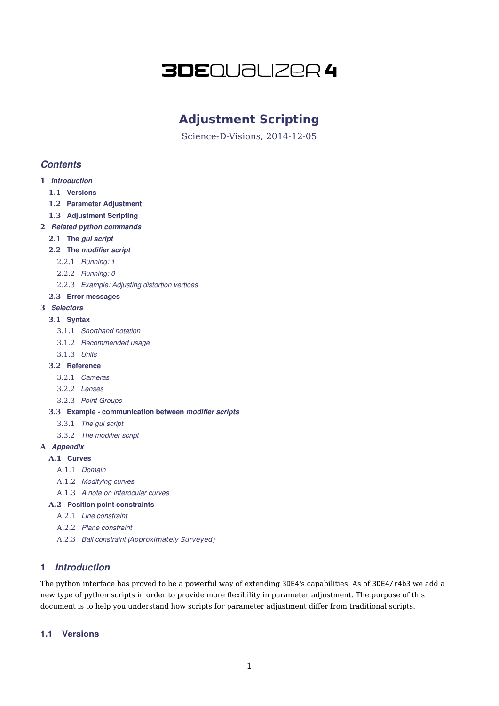# **3DE**QUƏLIZER 4

# **Adjustment Scripting**

Science-D-Visions, 2014-12-05

# **Contents**

- **1** Introduction
	- **1.1** Versions
	- **1.2** Parameter Adjustment
	- **1.3** Adjustment Scripting
- **2** Related python commands
	- **2.1** The gui script
	- **2.2** The modifier script
		- 2.2.1 Running: 1
		- 2.2.2 Running: 0
		- 2.2.3 Example: Adjusting distortion vertices

# **2.3** Error messages

# **3** Selectors

# **3.1** Syntax

- 3.1.1 Shorthand notation
- 3.1.2 Recommended usage
- 3.1.3 Units
- **3.2** Reference
	- 3.2.1 Cameras
	- 3.2.2 Lenses
	- 3.2.3 Point Groups

#### **3.3** Example - communication between modifier scripts

- 3.3.1 The gui script
- 3.3.2 The modifier script

# **A** Appendix

- **A.1** Curves
	- A.1.1 Domain
	- A.1.2 Modifying curves
	- A.1.3 A note on interocular curves

# **A.2** Position point constraints

- A.2.1 Line constraint
- A.2.2 Plane constraint
- A.2.3 Ball constraint (Approximately Surveyed)

# 1 Introduction

The python interface has proved to be a powerful way of extending 3DE4's capabilities. As of 3DE4/r4b3 we add a new type of python scripts in order to provide more flexibility in parameter adjustment. The purpose of this document is to help you understand how scripts for parameter adjustment differ from traditional scripts.

# 1.1 Versions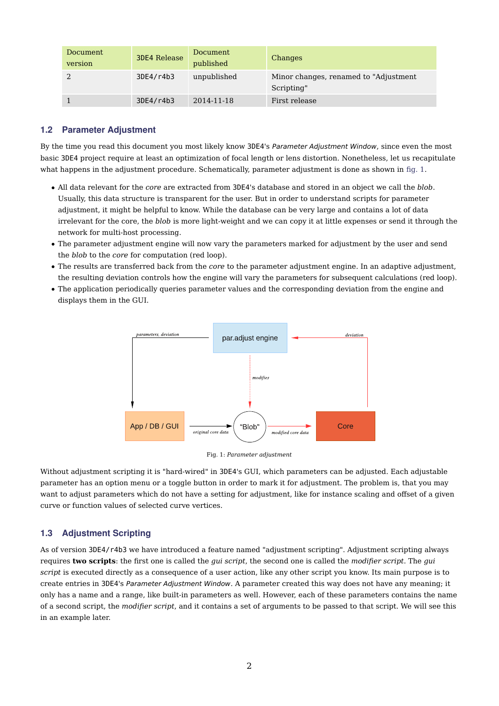| Document<br>version | <b>3DE4 Release</b> | Document<br>published | Changes                                              |
|---------------------|---------------------|-----------------------|------------------------------------------------------|
|                     | 3DE4/r4b3           | unpublished           | Minor changes, renamed to "Adjustment"<br>Scripting" |
|                     | 3DE4/r4b3           | 2014-11-18            | First release                                        |

# 1.2 Parameter Adjustment

By the time you read this document you most likely know 3DE4's Parameter Adjustment Window, since even the most basic 3DE4 project require at least an optimization of focal length or lens distortion. Nonetheless, let us recapitulate what happens in the adjustment procedure. Schematically, parameter adjustment is done as shown in fig. 1.

- All data relevant for the *core* are extracted from 3DE4's database and stored in an object we call the *blob*. Usually, this data structure is transparent for the user. But in order to understand scripts for parameter adjustment, it might be helpful to know. While the database can be very large and contains a lot of data irrelevant for the core, the *blob* is more light-weight and we can copy it at little expenses or send it through the network for multi-host processing.
- The parameter adjustment engine will now vary the parameters marked for adjustment by the user and send the *blob* to the *core* for computation (red loop).
- The results are transferred back from the *core* to the parameter adjustment engine. In an adaptive adjustment, the resulting deviation controls how the engine will vary the parameters for subsequent calculations (red loop).
- The application periodically queries parameter values and the corresponding deviation from the engine and displays them in the GUI.





Without adjustment scripting it is "hard-wired" in 3DE4's GUI, which parameters can be adjusted. Each adjustable parameter has an option menu or a toggle button in order to mark it for adjustment. The problem is, that you may want to adjust parameters which do not have a setting for adjustment, like for instance scaling and offset of a given curve or function values of selected curve vertices.

# 1.3 Adjustment Scripting

As of version 3DE4/r4b3 we have introduced a feature named "adjustment scripting". Adjustment scripting always requires **two scripts**: the first one is called the *gui script*, the second one is called the *modifier script*. The *gui script* is executed directly as a consequence of a user action, like any other script you know. Its main purpose is to create entries in 3DE4's Parameter Adjustment Window. A parameter created this way does not have any meaning; it only has a name and a range, like built-in parameters as well. However, each of these parameters contains the name of a second script, the *modifier script*, and it contains a set of arguments to be passed to that script. We will see this in an example later.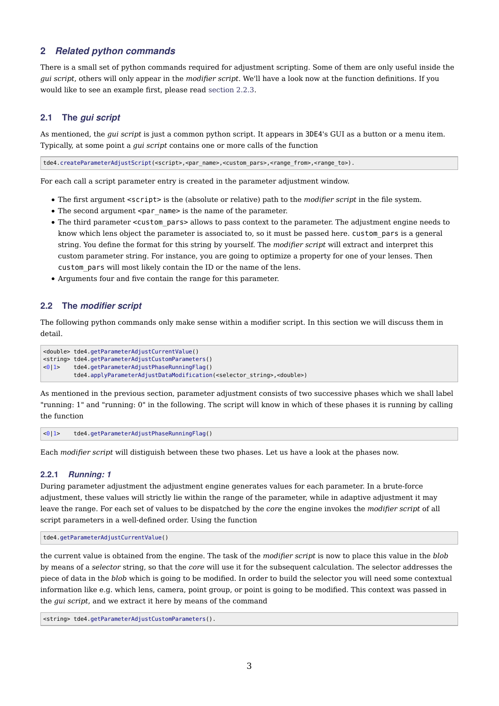# 2 Related python commands

There is a small set of python commands required for adjustment scripting. Some of them are only useful inside the *gui script*, others will only appear in the *modifier script*. We'll have a look now at the function definitions. If you would like to see an example first, please read section 2.2.3.

# 2.1 The gui script

As mentioned, the *gui script* is just a common python script. It appears in 3DE4's GUI as a button or a menu item. Typically, at some point a *gui script* contains one or more calls of the function

tde4.createParameterAdjustScript(<script>,<par\_name>,<custom\_pars>,<range\_from>,<range\_to>).

For each call a script parameter entry is created in the parameter adjustment window.

- The first argument <script> is the (absolute or relative) path to the *modifier script* in the file system.
- The second argument <par name> is the name of the parameter.
- The third parameter <custom\_pars> allows to pass context to the parameter. The adjustment engine needs to know which lens object the parameter is associated to, so it must be passed here. custom\_pars is a general string. You define the format for this string by yourself. The *modifier script* will extract and interpret this custom parameter string. For instance, you are going to optimize a property for one of your lenses. Then custom pars will most likely contain the ID or the name of the lens.
- Arguments four and five contain the range for this parameter.

### 2.2 The modifier script

The following python commands only make sense within a modifier script. In this section we will discuss them in detail.

```
<double> tde4.getParameterAdjustCurrentValue()
<string> tde4.getParameterAdjustCustomParameters()
<0|1> tde4.getParameterAdjustPhaseRunningFlag()
         tde4.applyParameterAdjustDataModification(<selector_string>,<double>)
```
As mentioned in the previous section, parameter adjustment consists of two successive phases which we shall label "running: 1" and "running: 0" in the following. The script will know in which of these phases it is running by calling the function

<0|1> tde4.getParameterAdjustPhaseRunningFlag()

Each *modifier script* will distiguish between these two phases. Let us have a look at the phases now.

#### 2.2.1 Running: 1

During parameter adjustment the adjustment engine generates values for each parameter. In a brute-force adjustment, these values will strictly lie within the range of the parameter, while in adaptive adjustment it may leave the range. For each set of values to be dispatched by the *core* the engine invokes the *modifier script* of all script parameters in a well-defined order. Using the function

```
tde4.getParameterAdjustCurrentValue()
```
the current value is obtained from the engine. The task of the *modifier script* is now to place this value in the *blob* by means of a *selector* string, so that the *core* will use it for the subsequent calculation. The selector addresses the piece of data in the *blob* which is going to be modified. In order to build the selector you will need some contextual information like e.g. which lens, camera, point group, or point is going to be modified. This context was passed in the *gui script*, and we extract it here by means of the command

```
<string> tde4.getParameterAdjustCustomParameters().
```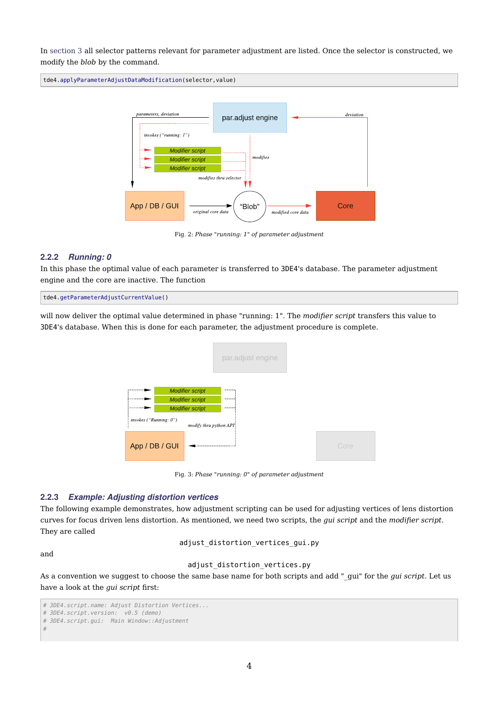In section 3 all selector patterns relevant for parameter adjustment are listed. Once the selector is constructed, we modify the *blob* by the command.

tde4.applyParameterAdjustDataModification(selector,value)



Fig. 2: *Phase "running: 1" of parameter adjustment*

#### 2.2.2 Running: 0

In this phase the optimal value of each parameter is transferred to 3DE4's database. The parameter adjustment engine and the core are inactive. The function

tde4.getParameterAdjustCurrentValue()

will now deliver the optimal value determined in phase "running: 1". The *modifier script* transfers this value to 3DE4's database. When this is done for each parameter, the adjustment procedure is complete.



Fig. 3: *Phase "running: 0" of parameter adjustment*

#### 2.2.3 Example: Adjusting distortion vertices

The following example demonstrates, how adjustment scripting can be used for adjusting vertices of lens distortion curves for focus driven lens distortion. As mentioned, we need two scripts, the *gui script* and the *modifier script*. They are called

adjust\_distortion\_vertices\_gui.py

and

### adjust\_distortion\_vertices.py

As a convention we suggest to choose the same base name for both scripts and add "\_gui" for the *gui script*. Let us have a look at the *gui script* first:

<sup># 3</sup>DE4.script.name: Adjust Distortion Vertices...

<sup># 3</sup>DE4.script.version: v0.5 (demo)

<sup># 3</sup>DE4.script.gui: Main Window::Adjustment

<sup>#</sup>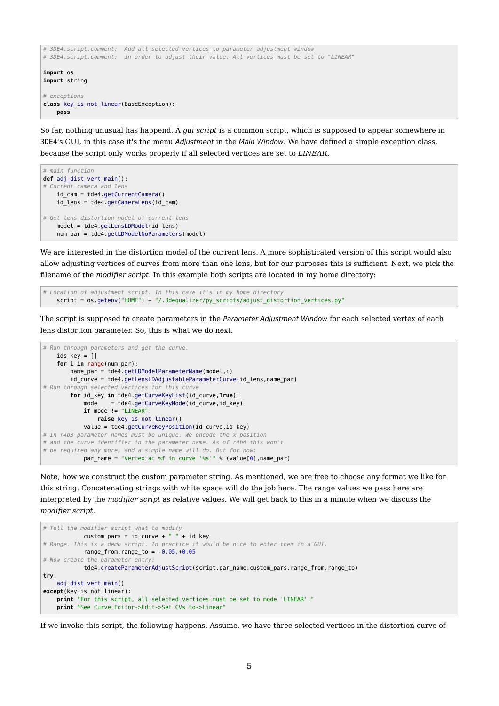```
# 3DE4.script.comment: Add all selected vertices to parameter adjustment window
# 3DE4.script.comment: in order to adjust their value. All vertices must be set to "LINEAR"
import os
import string
# exceptions
class key_is_not_linear(BaseException):
    pass
```
So far, nothing unusual has happend. A *gui script* is a common script, which is supposed to appear somewhere in 3DE4's GUI, in this case it's the menu Adjustment in the Main Window. We have defined a simple exception class, because the script only works properly if all selected vertices are set to *LINEAR*.

```
# main function
def adj_dist_vert_main():
# Current camera and lens
    id_cam = tde4.getCurrentCamera()
   id lens = tde4.getCameraLens(id cam)
# Get lens distortion model of current lens
   model = tde4.getLensLDModel(id lens)
   num par = tde4.getLDModelNoParameters(model)
```
We are interested in the distortion model of the current lens. A more sophisticated version of this script would also allow adjusting vertices of curves from more than one lens, but for our purposes this is sufficient. Next, we pick the filename of the *modifier script*. In this example both scripts are located in my home directory:

```
# Location of adjustment script. In this case it's in my home directory.
    script = os.getenv("HOME") + "/.3dequalizer/py_scripts/adjust_distortion_vertices.py"
```
The script is supposed to create parameters in the Parameter Adjustment Window for each selected vertex of each lens distortion parameter. So, this is what we do next.

```
# Run through parameters and get the curve.
   ids key = [] for i in range(num_par):
       name par = tde4.getLDMode1ParameterName(model,i)id curve = tde4.getLensLDAdjustableParameterCurve(id_lens,name_par)
# Run through selected vertices for this curve
        for id_key in tde4.getCurveKeyList(id_curve,True):
            mode = tde4.getCurveKeyMode(id_curve,id_key)
            if mode != "LINEAR":
               raise key is not linear()
            value = tde4.getCurveKeyPosition(id_curve,id_key)
# In r4b3 parameter names must be unique. We encode the x-position
# and the curve identifier in the parameter name. As of r4b4 this won't
# be required any more, and a simple name will do. But for now:
            par_name = "Vertex at %f in curve '%s'" % (value[0],name_par)
```
Note, how we construct the custom parameter string. As mentioned, we are free to choose any format we like for this string. Concatenating strings with white space will do the job here. The range values we pass here are interpreted by the *modifier script* as relative values. We will get back to this in a minute when we discuss the *modifier script*.

```
# Tell the modifier script what to modify
            custom\_pars = id\_curve + " " + id\_key# Range. This is a demo script. In practice it would be nice to enter them in a GUI.
            range_from, range_to = -0.05, +0.05# Now create the parameter entry:
             tde4.createParameterAdjustScript(script,par_name,custom_pars,range_from,range_to)
try:
    adj_dist_vert_main()
except(key_is_not_linear):
     print "For this script, all selected vertices must be set to mode 'LINEAR'."
     print "See Curve Editor->Edit->Set CVs to->Linear"
```
If we invoke this script, the following happens. Assume, we have three selected vertices in the distortion curve of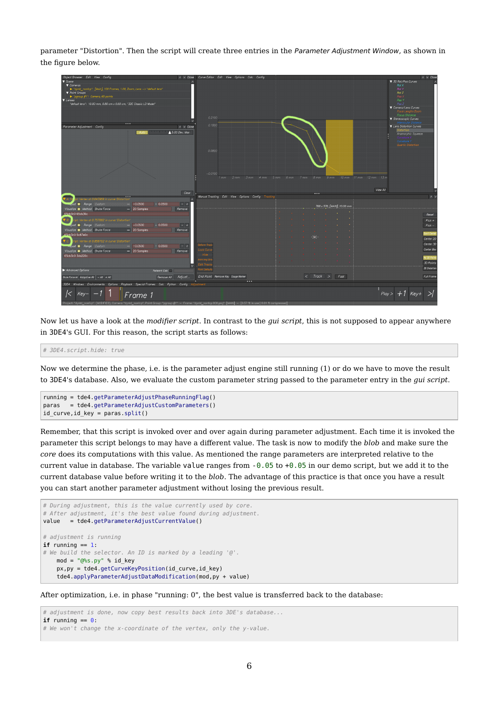parameter "Distortion". Then the script will create three entries in the Parameter Adjustment Window, as shown in the figure below.



Now let us have a look at the *modifier script*. In contrast to the *gui script*, this is not supposed to appear anywhere in 3DE4's GUI. For this reason, the script starts as follows:

# 3DE4.script.hide: true

Now we determine the phase, i.e. is the parameter adjust engine still running (1) or do we have to move the result to 3DE4's database. Also, we evaluate the custom parameter string passed to the parameter entry in the *gui script*.

```
running = tde4.getParameterAdjustPhaseRunningFlag()
paras = tde4.getParameterAdjustCustomParameters()
id_curve,id_key = paras.split()
```
Remember, that this script is invoked over and over again during parameter adjustment. Each time it is invoked the parameter this script belongs to may have a different value. The task is now to modify the *blob* and make sure the *core* does its computations with this value. As mentioned the range parameters are interpreted relative to the current value in database. The variable value ranges from  $-0.05$  to  $+0.05$  in our demo script, but we add it to the current database value before writing it to the *blob*. The advantage of this practice is that once you have a result you can start another parameter adjustment without losing the previous result.

```
# During adjustment, this is the value currently used by core.
# After adjustment, it's the best value found during adjustment.
value = tde4.getParameterAdjustCurrentValue()
# adjustment is running
if running == 1:
# We build the selector. An ID is marked by a leading '@'.
    mod = "@%s.py" % id_key
     px,py = tde4.getCurveKeyPosition(id_curve,id_key)
     tde4.applyParameterAdjustDataModification(mod,py + value)
```
After optimization, i.e. in phase "running: 0", the best value is transferred back to the database:

# adjustment is done, now copy best results back into 3DE's database... **if** running  $== 0$ : # We won't change the x-coordinate of the vertex, only the y-value.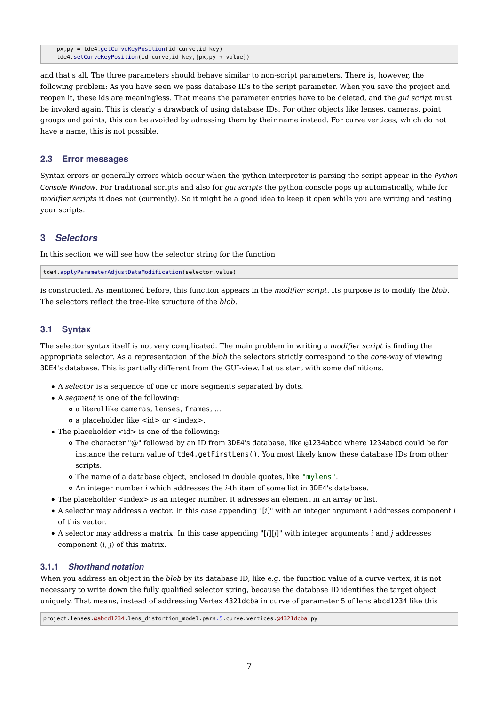px,py = tde4.getCurveKeyPosition(id\_curve,id\_key) tde4.setCurveKeyPosition(id\_curve,id\_key,[px,py + value])

and that's all. The three parameters should behave similar to non-script parameters. There is, however, the following problem: As you have seen we pass database IDs to the script parameter. When you save the project and reopen it, these ids are meaningless. That means the parameter entries have to be deleted, and the *gui script* must be invoked again. This is clearly a drawback of using database IDs. For other objects like lenses, cameras, point groups and points, this can be avoided by adressing them by their name instead. For curve vertices, which do not have a name, this is not possible.

# 2.3 Error messages

Syntax errors or generally errors which occur when the python interpreter is parsing the script appear in the Python Console Window. For traditional scripts and also for *gui scripts* the python console pops up automatically, while for *modifier scripts* it does not (currently). So it might be a good idea to keep it open while you are writing and testing your scripts.

# 3 Selectors

In this section we will see how the selector string for the function

tde4.applyParameterAdjustDataModification(selector,value)

is constructed. As mentioned before, this function appears in the *modifier script*. Its purpose is to modify the *blob*. The selectors reflect the tree-like structure of the *blob*.

# 3.1 Syntax

The selector syntax itself is not very complicated. The main problem in writing a *modifier script* is finding the appropriate selector. As a representation of the *blob* the selectors strictly correspond to the *core*-way of viewing 3DE4's database. This is partially different from the GUI-view. Let us start with some definitions.

- A *selector* is a sequence of one or more segments separated by dots.
- A *segment* is one of the following:
	- a literal like cameras, lenses, frames, ...
	- o a placeholder like  $\langle id \rangle$  or  $\langle id \rangle$ .
- The placeholder <id> is one of the following:
	- The character "@" followed by an ID from 3DE4's database, like @1234abcd where 1234abcd could be for instance the return value of tde4.getFirstLens(). You most likely know these database IDs from other scripts.
	- The name of a database object, enclosed in double quotes, like "mylens".
	- An integer number *i* which addresses the *i*-th item of some list in 3DE4's database.
- The placeholder <index> is an integer number. It adresses an element in an array or list.
- A selector may address a vector. In this case appending "[*i*]" with an integer argument *i* addresses component *i* of this vector.
- A selector may address a matrix. In this case appending "[*i*][*j*]" with integer arguments *i* and *j* addresses component (*i*, *j*) of this matrix.

#### 3.1.1 Shorthand notation

When you address an object in the *blob* by its database ID, like e.g. the function value of a curve vertex, it is not necessary to write down the fully qualified selector string, because the database ID identifies the target object uniquely. That means, instead of addressing Vertex 4321dcba in curve of parameter 5 of lens abcd1234 like this

project.lenses.@abcd1234.lens\_distortion\_model.pars.5.curve.vertices.@4321dcba.py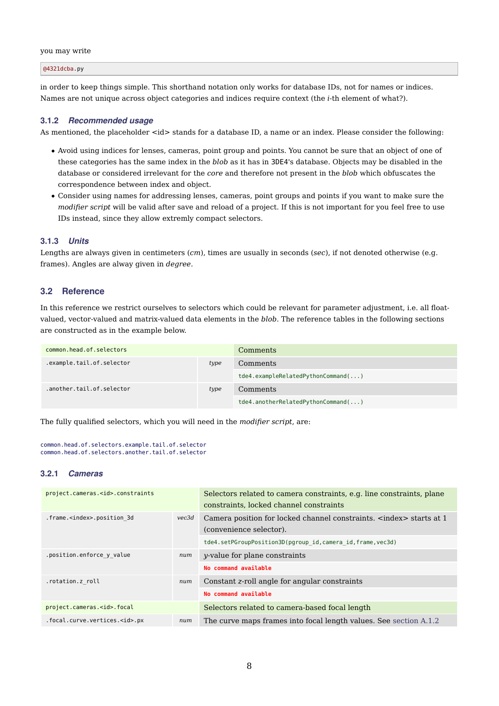#### you may write

@4321dcba.py

in order to keep things simple. This shorthand notation only works for database IDs, not for names or indices. Names are not unique across object categories and indices require context (the *i*-th element of what?).

#### 3.1.2 Recommended usage

As mentioned, the placeholder <id> stands for a database ID, a name or an index. Please consider the following:

- Avoid using indices for lenses, cameras, point group and points. You cannot be sure that an object of one of these categories has the same index in the *blob* as it has in 3DE4's database. Objects may be disabled in the database or considered irrelevant for the *core* and therefore not present in the *blob* which obfuscates the correspondence between index and object.
- Consider using names for addressing lenses, cameras, point groups and points if you want to make sure the *modifier script* will be valid after save and reload of a project. If this is not important for you feel free to use IDs instead, since they allow extremly compact selectors.

#### 3.1.3 Units

Lengths are always given in centimeters (*cm*), times are usually in seconds (*sec*), if not denoted otherwise (e.g. frames). Angles are alway given in *degree*.

#### 3.2 Reference

In this reference we restrict ourselves to selectors which could be relevant for parameter adjustment, i.e. all floatvalued, vector-valued and matrix-valued data elements in the *blob*. The reference tables in the following sections are constructed as in the example below.

| common.head.of.selectors  |      | Comments                              |
|---------------------------|------|---------------------------------------|
| .example.tail.of.selector | type | Comments                              |
|                           |      | $t$ de4.exampleRelatedPythonCommand() |
| .another.tail.of.selector | type | Comments                              |
|                           |      | tde4.anotherRelatedPythonCommand()    |

The fully qualified selectors, which you will need in the *modifier script*, are:

```
common.head.of.selectors.example.tail.of.selector
common.head.of.selectors.another.tail.of.selector
```
#### 3.2.1 Cameras

| project.cameras. <id>.constraints</id> |       | Selectors related to camera constraints, e.g. line constraints, plane<br>constraints, locked channel constraints |
|----------------------------------------|-------|------------------------------------------------------------------------------------------------------------------|
| .frame. <index>.position 3d</index>    | vec3d | Camera position for locked channel constraints. <index> starts at 1<br/>(convenience selector).</index>          |
|                                        |       | tde4.setPGroupPosition3D(pgroup id, camera id, frame, vec3d)                                                     |
| .position.enforce y value              | num   | <i>v</i> -value for plane constraints                                                                            |
|                                        |       | No command available                                                                                             |
| .rotation.z roll                       |       | Constant z-roll angle for angular constraints                                                                    |
|                                        |       | No command available                                                                                             |
| project.cameras. <id>.focal</id>       |       | Selectors related to camera-based focal length                                                                   |
| .focal.curve.vertices. <id>.px</id>    | num   | The curve maps frames into focal length values. See section A.1.2                                                |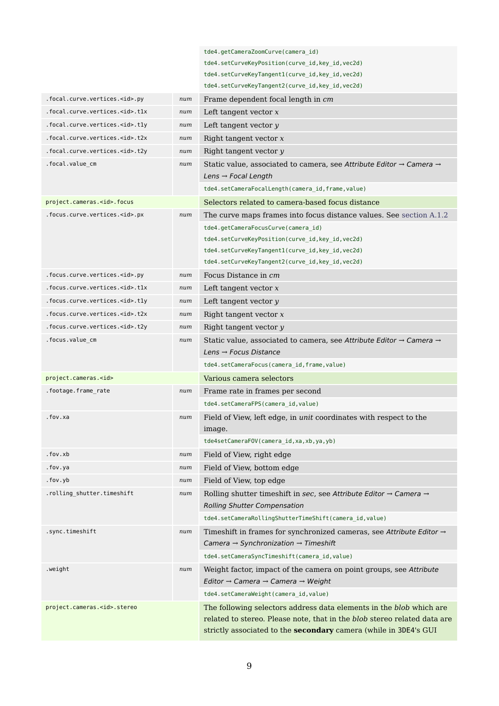|                                      |     | tde4.getCameraZoomCurve(camera id)                                                          |
|--------------------------------------|-----|---------------------------------------------------------------------------------------------|
|                                      |     | tde4.setCurveKeyPosition(curve_id,key_id,vec2d)                                             |
|                                      |     | tde4.setCurveKeyTangent1(curve_id,key_id,vec2d)                                             |
|                                      |     | tde4.setCurveKeyTangent2(curve_id,key_id,vec2d)                                             |
| .focal.curve.vertices. <id>.py</id>  | num | Frame dependent focal length in cm                                                          |
| .focal.curve.vertices. <id>.tlx</id> | num | Left tangent vector $x$                                                                     |
| .focal.curve.vertices. <id>.tly</id> | num | Left tangent vector y                                                                       |
| .focal.curve.vertices. <id>.t2x</id> | num | Right tangent vector x                                                                      |
| .focal.curve.vertices. <id>.t2y</id> | num | Right tangent vector y                                                                      |
| .focal.value_cm                      | num | Static value, associated to camera, see Attribute Editor $\rightarrow$ Camera $\rightarrow$ |
|                                      |     | Lens $\rightarrow$ Focal Length                                                             |
|                                      |     | tde4.setCameraFocalLength(camera_id,frame,value)                                            |
| project.cameras. <id>.focus</id>     |     | Selectors related to camera-based focus distance                                            |
| .focus.curve.vertices. <id>.px</id>  | num | The curve maps frames into focus distance values. See section A.1.2                         |
|                                      |     | tde4.getCameraFocusCurve(camera_id)                                                         |
|                                      |     | tde4.setCurveKeyPosition(curve_id,key_id,vec2d)                                             |
|                                      |     | tde4.setCurveKeyTangent1(curve_id,key_id,vec2d)                                             |
|                                      |     | tde4.setCurveKeyTangent2(curve_id,key_id,vec2d)                                             |
| .focus.curve.vertices. <id>.py</id>  | num | Focus Distance in cm                                                                        |
| .focus.curve.vertices. <id>.tlx</id> | num | Left tangent vector $x$                                                                     |
| .focus.curve.vertices. <id>.tly</id> | num | Left tangent vector y                                                                       |
| .focus.curve.vertices. <id>.t2x</id> | num | Right tangent vector x                                                                      |
| .focus.curve.vertices. <id>.t2y</id> | num | Right tangent vector y                                                                      |
| .focus.value_cm                      | num | Static value, associated to camera, see Attribute Editor $\rightarrow$ Camera $\rightarrow$ |
|                                      |     | Lens $\rightarrow$ Focus Distance                                                           |
|                                      |     | tde4.setCameraFocus(camera_id,frame,value)                                                  |
| project.cameras. <id></id>           |     | Various camera selectors                                                                    |
| .footage.frame_rate                  | num | Frame rate in frames per second                                                             |
|                                      |     | tde4.setCameraFPS(camera_id,value)                                                          |
| .fov.xa                              | num | Field of View, left edge, in unit coordinates with respect to the                           |
|                                      |     | image.                                                                                      |
|                                      |     | tde4setCameraFOV(camera id, xa, xb, ya, yb)                                                 |
| .fov.xb                              | num | Field of View, right edge                                                                   |
| .fov.ya                              | num | Field of View, bottom edge                                                                  |
| .fov.yb                              | num | Field of View, top edge                                                                     |
| .rolling_shutter.timeshift           | num | Rolling shutter timeshift in sec, see Attribute Editor $\rightarrow$ Camera $\rightarrow$   |
|                                      |     | <b>Rolling Shutter Compensation</b>                                                         |
|                                      |     | tde4.setCameraRollingShutterTimeShift(camera_id,value)                                      |
| .sync.timeshift                      | num | Timeshift in frames for synchronized cameras, see Attribute Editor $\rightarrow$            |
|                                      |     | Camera $\rightarrow$ Synchronization $\rightarrow$ Timeshift                                |
|                                      |     | tde4.setCameraSyncTimeshift(camera_id,value)                                                |
| .weight                              | num | Weight factor, impact of the camera on point groups, see Attribute                          |
|                                      |     | Editor $\rightarrow$ Camera $\rightarrow$ Camera $\rightarrow$ Weight                       |
|                                      |     | tde4.setCameraWeight(camera_id,value)                                                       |
| project.cameras. <id>.stereo</id>    |     | The following selectors address data elements in the blob which are                         |
|                                      |     | related to stereo. Please note, that in the blob stereo related data are                    |
|                                      |     | strictly associated to the secondary camera (while in 3DE4's GUI                            |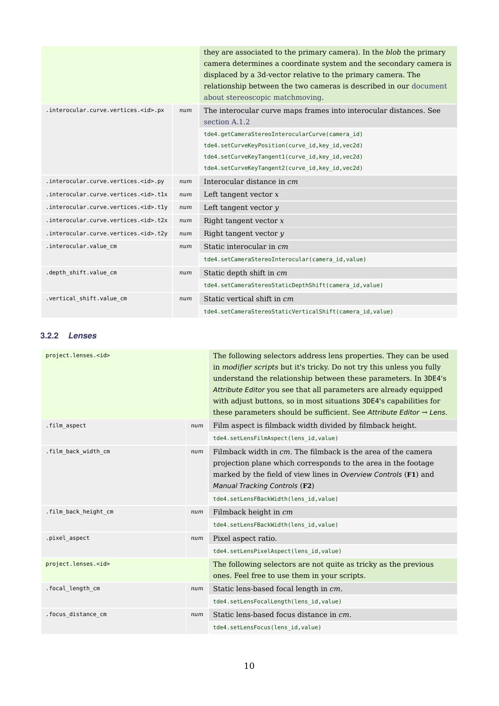|                                            |     | they are associated to the primary camera). In the blob the primary<br>camera determines a coordinate system and the secondary camera is<br>displaced by a 3d-vector relative to the primary camera. The<br>relationship between the two cameras is described in our document<br>about stereoscopic matchmoving. |
|--------------------------------------------|-----|------------------------------------------------------------------------------------------------------------------------------------------------------------------------------------------------------------------------------------------------------------------------------------------------------------------|
| .interocular.curve.vertices. <id>.px</id>  | num | The interocular curve maps frames into interocular distances. See<br>section A.1.2                                                                                                                                                                                                                               |
|                                            |     | tde4.getCameraStereoInterocularCurve(camera id)                                                                                                                                                                                                                                                                  |
|                                            |     | tde4.setCurveKeyPosition(curve id, key id, vec2d)                                                                                                                                                                                                                                                                |
|                                            |     | tde4.setCurveKeyTangent1(curve id, key id, vec2d)                                                                                                                                                                                                                                                                |
|                                            |     | tde4.setCurveKeyTangent2(curve_id,key_id,vec2d)                                                                                                                                                                                                                                                                  |
| .interocular.curve.vertices. <id>.py</id>  | num | Interocular distance in cm                                                                                                                                                                                                                                                                                       |
| .interocular.curve.vertices. <id>.tlx</id> | num | Left tangent vector $x$                                                                                                                                                                                                                                                                                          |
| .interocular.curve.vertices. <id>.tly</id> | num | Left tangent vector $y$                                                                                                                                                                                                                                                                                          |
| .interocular.curve.vertices. <id>.t2x</id> | num | Right tangent vector x                                                                                                                                                                                                                                                                                           |
| .interocular.curve.vertices. <id>.t2y</id> | num | Right tangent vector y                                                                                                                                                                                                                                                                                           |
| .interocular.value cm                      | num | Static interocular in cm                                                                                                                                                                                                                                                                                         |
|                                            |     | tde4.setCameraStereoInterocular(camera_id,value)                                                                                                                                                                                                                                                                 |
| .depth_shift.value_cm                      | num | Static depth shift in cm                                                                                                                                                                                                                                                                                         |
|                                            |     | tde4.setCameraStereoStaticDepthShift(camera_id,value)                                                                                                                                                                                                                                                            |
| .vertical_shift.value_cm                   | num | Static vertical shift in cm                                                                                                                                                                                                                                                                                      |
|                                            |     | tde4.setCameraStereoStaticVerticalShift(camera id, value)                                                                                                                                                                                                                                                        |

# 3.2.2 Lenses

| project.lenses. <id></id> |     | The following selectors address lens properties. They can be used<br>in modifier scripts but it's tricky. Do not try this unless you fully<br>understand the relationship between these parameters. In 3DE4's<br>Attribute Editor you see that all parameters are already equipped<br>with adjust buttons, so in most situations 3DE4's capabilities for<br>these parameters should be sufficient. See Attribute Editor $\rightarrow$ Lens. |
|---------------------------|-----|---------------------------------------------------------------------------------------------------------------------------------------------------------------------------------------------------------------------------------------------------------------------------------------------------------------------------------------------------------------------------------------------------------------------------------------------|
| .film_aspect              | num | Film aspect is filmback width divided by filmback height.<br>tde4.setLensFilmAspect(lens id, value)                                                                                                                                                                                                                                                                                                                                         |
| .film back width cm       | num | Filmback width in cm. The filmback is the area of the camera<br>projection plane which corresponds to the area in the footage<br>marked by the field of view lines in Overview Controls (F1) and<br>Manual Tracking Controls (F2)<br>tde4.setLensFBackWidth(lens id, value)                                                                                                                                                                 |
| .film_back_height_cm      | num | Filmback height in cm<br>tde4.setLensFBackWidth(lens id, value)                                                                                                                                                                                                                                                                                                                                                                             |
| .pixel aspect             | num | Pixel aspect ratio.<br>tde4.setLensPixelAspect(lens id, value)                                                                                                                                                                                                                                                                                                                                                                              |
| project.lenses. <id></id> |     | The following selectors are not quite as tricky as the previous<br>ones. Feel free to use them in your scripts.                                                                                                                                                                                                                                                                                                                             |
| .focal length cm          | num | Static lens-based focal length in cm.<br>tde4.setLensFocalLength(lens id, value)                                                                                                                                                                                                                                                                                                                                                            |
| .focus_distance_cm        | num | Static lens-based focus distance in cm.<br>tde4.setLensFocus(lens id, value)                                                                                                                                                                                                                                                                                                                                                                |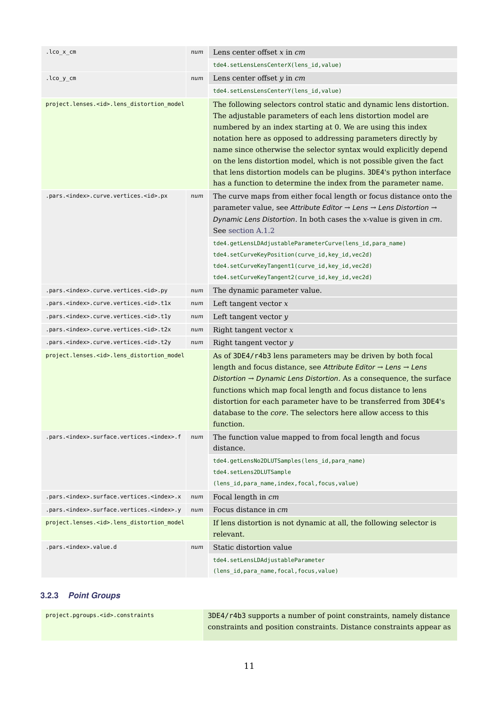| .lco_x_cm                                                 |     | Lens center offset $x$ in $cm$                                                                                                                                                                                                                                                                                                                                                                                                                                                                                                                        |
|-----------------------------------------------------------|-----|-------------------------------------------------------------------------------------------------------------------------------------------------------------------------------------------------------------------------------------------------------------------------------------------------------------------------------------------------------------------------------------------------------------------------------------------------------------------------------------------------------------------------------------------------------|
|                                                           |     | tde4.setLensLensCenterX(lens_id, value)                                                                                                                                                                                                                                                                                                                                                                                                                                                                                                               |
| .lco_y_cm                                                 | num | Lens center offset y in cm                                                                                                                                                                                                                                                                                                                                                                                                                                                                                                                            |
|                                                           |     | tde4.setLensLensCenterY(lens_id, value)                                                                                                                                                                                                                                                                                                                                                                                                                                                                                                               |
| project.lenses. <id>.lens_distortion_model</id>           |     | The following selectors control static and dynamic lens distortion.<br>The adjustable parameters of each lens distortion model are<br>numbered by an index starting at 0. We are using this index<br>notation here as opposed to addressing parameters directly by<br>name since otherwise the selector syntax would explicitly depend<br>on the lens distortion model, which is not possible given the fact<br>that lens distortion models can be plugins. 3DE4's python interface<br>has a function to determine the index from the parameter name. |
| .pars. <index>.curve.vertices.<id>.px</id></index>        | num | The curve maps from either focal length or focus distance onto the<br>parameter value, see Attribute Editor → Lens → Lens Distortion →<br>Dynamic Lens Distortion. In both cases the x-value is given in cm.<br>See section A.1.2                                                                                                                                                                                                                                                                                                                     |
|                                                           |     | tde4.getLensLDAdjustableParameterCurve(lens_id,para_name)<br>tde4.setCurveKeyPosition(curve_id,key_id,vec2d)<br>tde4.setCurveKeyTangent1(curve_id,key_id,vec2d)<br>tde4.setCurveKeyTangent2(curve_id,key_id,vec2d)                                                                                                                                                                                                                                                                                                                                    |
| .pars. <index>.curve.vertices.<id>.py</id></index>        | num | The dynamic parameter value.                                                                                                                                                                                                                                                                                                                                                                                                                                                                                                                          |
| .pars. <index>.curve.vertices.<id>.tlx</id></index>       | num | Left tangent vector $x$                                                                                                                                                                                                                                                                                                                                                                                                                                                                                                                               |
| .pars. <index>.curve.vertices.<id>.tly</id></index>       | num | Left tangent vector y                                                                                                                                                                                                                                                                                                                                                                                                                                                                                                                                 |
| .pars. <index>.curve.vertices.<id>.t2x</id></index>       | num | Right tangent vector $x$                                                                                                                                                                                                                                                                                                                                                                                                                                                                                                                              |
| .pars. <index>.curve.vertices.<id>.t2y</id></index>       | num | Right tangent vector y                                                                                                                                                                                                                                                                                                                                                                                                                                                                                                                                |
| project.lenses. <id>.lens_distortion_model</id>           |     | As of 3DE4/r4b3 lens parameters may be driven by both focal<br>length and focus distance, see Attribute Editor $\rightarrow$ Lens $\rightarrow$ Lens<br>Distortion $\rightarrow$ Dynamic Lens Distortion. As a consequence, the surface<br>functions which map focal length and focus distance to lens<br>distortion for each parameter have to be transferred from 3DE4's<br>database to the core. The selectors here allow access to this<br>function.                                                                                              |
| .pars. <index>.surface.vertices.<index>.f</index></index> | num | The function value mapped to from focal length and focus<br>distance.                                                                                                                                                                                                                                                                                                                                                                                                                                                                                 |
|                                                           |     | tde4.getLensNo2DLUTSamples(lens_id,para_name)<br>tde4.setLens2DLUTSample<br>(lens_id, para_name, index, focal, focus, value)                                                                                                                                                                                                                                                                                                                                                                                                                          |
| .pars. <index>.surface.vertices.<index>.x</index></index> | num | Focal length in cm                                                                                                                                                                                                                                                                                                                                                                                                                                                                                                                                    |
| .pars. <index>.surface.vertices.<index>.y</index></index> | num | Focus distance in cm                                                                                                                                                                                                                                                                                                                                                                                                                                                                                                                                  |
| project.lenses. <id>.lens distortion model</id>           |     | If lens distortion is not dynamic at all, the following selector is<br>relevant.                                                                                                                                                                                                                                                                                                                                                                                                                                                                      |
| .pars. <index>.value.d</index>                            | num | Static distortion value                                                                                                                                                                                                                                                                                                                                                                                                                                                                                                                               |
|                                                           |     | tde4.setLensLDAdjustableParameter<br>(lens_id, para_name, focal, focus, value)                                                                                                                                                                                                                                                                                                                                                                                                                                                                        |
|                                                           |     |                                                                                                                                                                                                                                                                                                                                                                                                                                                                                                                                                       |

# 3.2.3 Point Groups

| project.pgroups. <id>.constraints</id> | 3DE4/r4b3 supports a number of point constraints, namely distance    |
|----------------------------------------|----------------------------------------------------------------------|
|                                        | constraints and position constraints. Distance constraints appear as |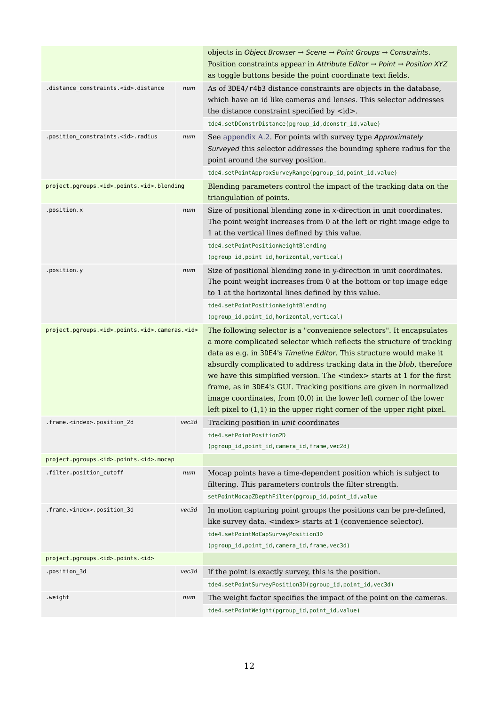|                                                               |       | objects in Object Browser $\rightarrow$ Scene $\rightarrow$ Point Groups $\rightarrow$ Constraints.<br>Position constraints appear in Attribute Editor $\rightarrow$ Point $\rightarrow$ Position XYZ<br>as toggle buttons beside the point coordinate text fields.                                                                                                                                                                                                                                                                                                                                                     |
|---------------------------------------------------------------|-------|-------------------------------------------------------------------------------------------------------------------------------------------------------------------------------------------------------------------------------------------------------------------------------------------------------------------------------------------------------------------------------------------------------------------------------------------------------------------------------------------------------------------------------------------------------------------------------------------------------------------------|
| .distance_constraints. <id>.distance</id>                     | num   | As of 3DE4/r4b3 distance constraints are objects in the database,<br>which have an id like cameras and lenses. This selector addresses<br>the distance constraint specified by <id>.</id>                                                                                                                                                                                                                                                                                                                                                                                                                               |
|                                                               |       | tde4.setDConstrDistance(pgroup_id,dconstr_id,value)                                                                                                                                                                                                                                                                                                                                                                                                                                                                                                                                                                     |
| .position_constraints. <id>.radius</id>                       | num   | See appendix A.2. For points with survey type Approximately<br>Surveyed this selector addresses the bounding sphere radius for the<br>point around the survey position.                                                                                                                                                                                                                                                                                                                                                                                                                                                 |
|                                                               |       | tde4.setPointApproxSurveyRange(pgroup_id,point_id,value)                                                                                                                                                                                                                                                                                                                                                                                                                                                                                                                                                                |
| project.pgroups. <id>.points.<id>.blending</id></id>          |       | Blending parameters control the impact of the tracking data on the<br>triangulation of points.                                                                                                                                                                                                                                                                                                                                                                                                                                                                                                                          |
| .position.x                                                   | num   | Size of positional blending zone in x-direction in unit coordinates.<br>The point weight increases from 0 at the left or right image edge to<br>1 at the vertical lines defined by this value.                                                                                                                                                                                                                                                                                                                                                                                                                          |
|                                                               |       | tde4.setPointPositionWeightBlending                                                                                                                                                                                                                                                                                                                                                                                                                                                                                                                                                                                     |
|                                                               |       | (pgroup_id, point_id, horizontal, vertical)                                                                                                                                                                                                                                                                                                                                                                                                                                                                                                                                                                             |
| .position.y                                                   | num   | Size of positional blending zone in y-direction in unit coordinates.<br>The point weight increases from 0 at the bottom or top image edge<br>to 1 at the horizontal lines defined by this value.                                                                                                                                                                                                                                                                                                                                                                                                                        |
|                                                               |       | tde4.setPointPositionWeightBlending                                                                                                                                                                                                                                                                                                                                                                                                                                                                                                                                                                                     |
|                                                               |       | (pgroup_id,point_id,horizontal,vertical)                                                                                                                                                                                                                                                                                                                                                                                                                                                                                                                                                                                |
| project.pgroups. <id>.points.<id>.cameras.<id></id></id></id> |       | The following selector is a "convenience selectors". It encapsulates<br>a more complicated selector which reflects the structure of tracking<br>data as e.g. in 3DE4's Timeline Editor. This structure would make it<br>absurdly complicated to address tracking data in the blob, therefore<br>we have this simplified version. The <index> starts at 1 for the first<br/>frame, as in 3DE4's GUI. Tracking positions are given in normalized<br/>image coordinates, from (0,0) in the lower left corner of the lower<br/>left pixel to <math>(1,1)</math> in the upper right corner of the upper right pixel.</index> |
| .frame. <index>.position_2d</index>                           | vec2d | Tracking position in unit coordinates                                                                                                                                                                                                                                                                                                                                                                                                                                                                                                                                                                                   |
|                                                               |       | tde4.setPointPosition2D<br>(pgroup_id, point_id, camera_id, frame, vec2d)                                                                                                                                                                                                                                                                                                                                                                                                                                                                                                                                               |
| project.pgroups. <id>.points.<id>.mocap</id></id>             |       |                                                                                                                                                                                                                                                                                                                                                                                                                                                                                                                                                                                                                         |
| .filter.position_cutoff                                       | num   | Mocap points have a time-dependent position which is subject to<br>filtering. This parameters controls the filter strength.                                                                                                                                                                                                                                                                                                                                                                                                                                                                                             |
|                                                               |       | setPointMocapZDepthFilter(pgroup_id,point_id,value                                                                                                                                                                                                                                                                                                                                                                                                                                                                                                                                                                      |
| .frame. <index>.position_3d</index>                           | vec3d | In motion capturing point groups the positions can be pre-defined,<br>like survey data. <index> starts at 1 (convenience selector).</index>                                                                                                                                                                                                                                                                                                                                                                                                                                                                             |
|                                                               |       | tde4.setPointMoCapSurveyPosition3D<br>(pgroup_id, point_id, camera_id, frame, vec3d)                                                                                                                                                                                                                                                                                                                                                                                                                                                                                                                                    |
| project.pgroups. <id>.points.<id></id></id>                   |       |                                                                                                                                                                                                                                                                                                                                                                                                                                                                                                                                                                                                                         |
| .position_3d<br>vec3d                                         |       | If the point is exactly survey, this is the position.                                                                                                                                                                                                                                                                                                                                                                                                                                                                                                                                                                   |
|                                                               |       | tde4.setPointSurveyPosition3D(pgroup_id,point_id,vec3d)                                                                                                                                                                                                                                                                                                                                                                                                                                                                                                                                                                 |
| .weight                                                       | num   | The weight factor specifies the impact of the point on the cameras.                                                                                                                                                                                                                                                                                                                                                                                                                                                                                                                                                     |
|                                                               |       | tde4.setPointWeight(pgroup_id,point_id,value)                                                                                                                                                                                                                                                                                                                                                                                                                                                                                                                                                                           |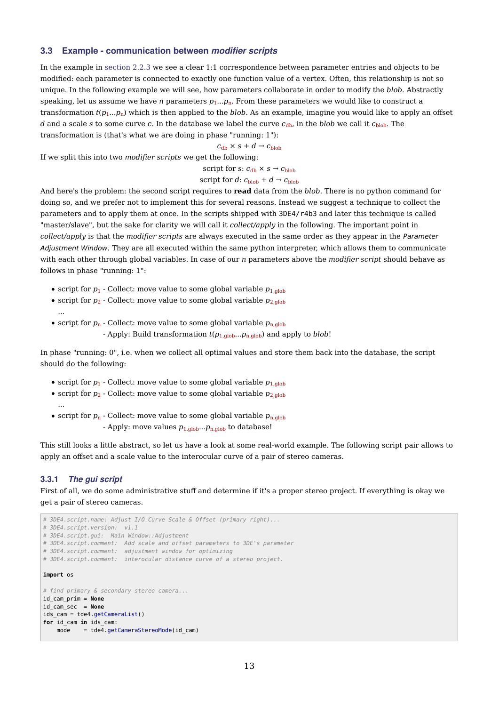#### 3.3 Example - communication between modifier scripts

In the example in section 2.2.3 we see a clear 1:1 correspondence between parameter entries and objects to be modified: each parameter is connected to exactly one function value of a vertex. Often, this relationship is not so unique. In the following example we will see, how parameters collaborate in order to modify the *blob*. Abstractly speaking, let us assume we have *n* parameters  $p_1...p_n$ . From these parameters we would like to construct a transformation  $t(p_1...p_n)$  which is then applied to the *blob*. As an example, imagine you would like to apply an offset *d* and a scale *s* to some curve *c*. In the database we label the curve  $c_{db}$ , in the *blob* we call it  $c_{\text{blob}}$ . The transformation is (that's what we are doing in phase "running: 1"):

 $c_{\text{dh}} \times s + d \rightarrow c_{\text{hloh}}$ 

If we split this into two *modifier scripts* we get the following:

script for *s*:  $c_{db} \times s \rightarrow c_{blob}$ 

#### script for *d*:  $c_{\text{blob}} + d \rightarrow c_{\text{blob}}$

And here's the problem: the second script requires to **read** data from the *blob*. There is no python command for doing so, and we prefer not to implement this for several reasons. Instead we suggest a technique to collect the parameters and to apply them at once. In the scripts shipped with 3DE4/r4b3 and later this technique is called "master/slave", but the sake for clarity we will call it *collect/apply* in the following. The important point in *collect/apply* is that the *modifier scripts* are always executed in the same order as they appear in the Parameter Adjustment Window. They are all executed within the same python interpreter, which allows them to communicate with each other through global variables. In case of our *n* parameters above the *modifier script* should behave as follows in phase "running: 1":

- script for  $p_1$  Collect: move value to some global variable  $p_{1,\text{glob}}$
- script for  $p_2$  Collect: move value to some global variable  $p_{2,\text{glob}}$ ...
- script for  $p_n$  Collect: move value to some global variable  $p_{n,\text{glob}}$ - Apply: Build transformation  $t(p_{1,\text{glob}}...p_{n,\text{glob}})$  and apply to *blob*!

In phase "running: 0", i.e. when we collect all optimal values and store them back into the database, the script should do the following:

- script for  $p_1$  Collect: move value to some global variable  $p_{1,\text{glob}}$
- script for  $p_2$  Collect: move value to some global variable  $p_{2,\text{glob}}$ ...
- script for  $p_n$  Collect: move value to some global variable  $p_{n,\text{glob}}$ - Apply: move values  $p_{1,\text{glob}}...p_{n,\text{glob}}$  to database!

This still looks a little abstract, so let us have a look at some real-world example. The following script pair allows to apply an offset and a scale value to the interocular curve of a pair of stereo cameras.

#### 3.3.1 The gui script

First of all, we do some administrative stuff and determine if it's a proper stereo project. If everything is okay we get a pair of stereo cameras.

```
# 3DE4.script.name: Adjust I/O Curve Scale & Offset (primary right)...
# 3DE4.script.version: v1.1
# 3DE4.script.gui: Main Window::Adjustment
# 3DE4.script.comment: Add scale and offset parameters to 3DE's parameter
# 3DE4.script.comment: adjustment window for optimizing
# 3DE4.script.comment: interocular distance curve of a stereo project.
import os
# find primary & secondary stereo camera...
id_cam_prim = None
id_cam_sec = None
ids cam = tde4.getCameraList()
for id_cam in ids_cam:
   mode = tde4.getCameraStereoMode(id cam)
```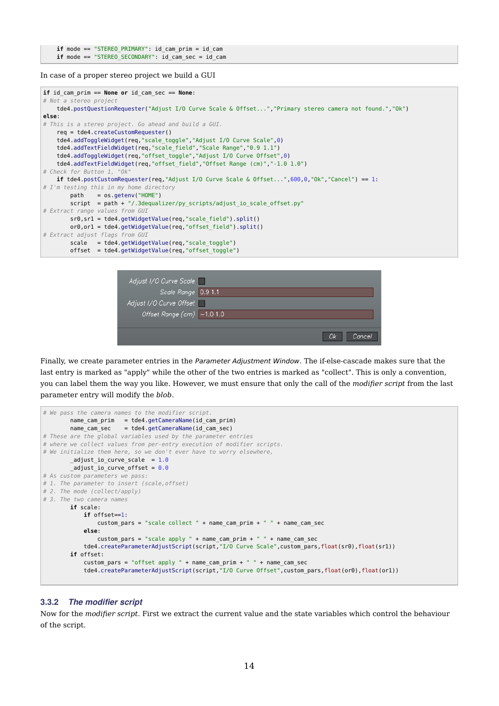```
 if mode == "STEREO_PRIMARY": id_cam_prim = id_cam
 if mode == "STEREO_SECONDARY": id_cam_sec = id_cam
```
In case of a proper stereo project we build a GUI



| Adjust I/O Curve Scale                  |              |
|-----------------------------------------|--------------|
| Scale Range 0.9 1.1                     |              |
| Adjust I/O Curve Offset                 |              |
| Offset Range $\overline{(cm)}$ -1.0 1.0 |              |
|                                         |              |
|                                         | Оk<br>Cancel |

Finally, we create parameter entries in the Parameter Adjustment Window. The if-else-cascade makes sure that the last entry is marked as "apply" while the other of the two entries is marked as "collect". This is only a convention, you can label them the way you like. However, we must ensure that only the call of the *modifier script* from the last parameter entry will modify the *blob*.

```
# We pass the camera names to the modifier script.
        name_cam_prim = tde4.getCameraName(id_cam_prim)
       name cam sec = tde4.getCameraName(id cam sec)
# These are the global variables used by the parameter entries
# where we collect values from per-entry execution of modifier scripts.
# We initialize them here, so we don't ever have to worry elsewhere,
       \_adjust\_io\_curve\_scale = 1.0adjust io curve offset = 0.0# As custom parameters we pass:
# 1. The parameter to insert (scale,offset)
# 2. The mode (collect/apply)
# 3. The two camera names
        if scale:
            if offset==1:
               custom pars = "scale collect " + name cam prim + " " + name cam sec
            else:
               custom pars = "scale apply " + name cam prim + " " + name cam sec
            tde4.createParameterAdjustScript(script,"I/O Curve Scale",custom_pars,float(sr0),float(sr1))
        if offset:
           custom pars = "offset apply " + name.cam.print " " + namecam. tde4.createParameterAdjustScript(script,"I/O Curve Offset",custom_pars,float(or0),float(or1))
```
#### 3.3.2 The modifier script

Now for the *modifier script*. First we extract the current value and the state variables which control the behaviour of the script.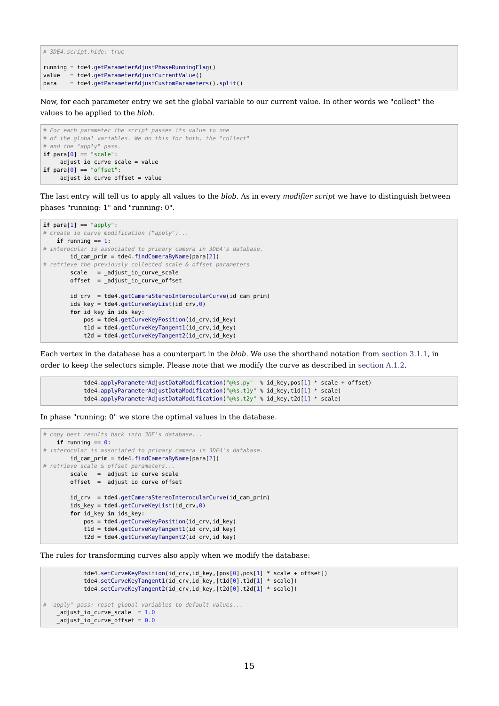```
# 3DE4.script.hide: true
running = tde4.getParameterAdjustPhaseRunningFlag()
value = tde4.getParameterAdjustCurrentValue()
para = tde4.getParameterAdjustCustomParameters().split()
```
Now, for each parameter entry we set the global variable to our current value. In other words we "collect" the values to be applied to the *blob*.

```
# For each parameter the script passes its value to one
# of the global variables. We do this for both, the "collect"
# and the "apply" pass.
if para[0] == "scale": _adjust_io_curve_scale = value
if para[0] == "offset": _adjust_io_curve_offset = value
```
The last entry will tell us to apply all values to the *blob*. As in every *modifier script* we have to distinguish between phases "running: 1" and "running: 0".

```
if para[1] == "apply":# create io curve modification ("apply")...
      if running == 1:
# interocular is associated to primary camera in 3DE4's database.
              id_cam_prim = tde4.findCameraByName(para[2])
# retrieve the previously collected scale & offset parameters
              scale = _adjust_io_curve_scale
             offset = <math>\frac{1}{\text{adjust}} \cdot \frac{1}{\text{adj}} \cdot \frac{1}{\text{adj}} \cdot \frac{1}{\text{adj}} \cdot \frac{1}{\text{adj}} \cdot \frac{1}{\text{adj}} \cdot \frac{1}{\text{adj}} \cdot \frac{1}{\text{adj}} \cdot \frac{1}{\text{adj}} \cdot \frac{1}{\text{adj}} \cdot \frac{1}{\text{adj}} \cdot \frac{1}{\text{adj}} \cdot \frac{1}{\text{adj}} \cdot \frac{1}{\text{adj}} \cdot \frac{1}{\text{adj}} \cdot \frac{1}{\text{adj}} \cdot \frac{1}{\text{adj}} \cdot \frac{1}{\text{adj}} \id crv = tde4.getCameraStereoInterocularCurve(id cam prim)
             ids key = tde4.getCurveKeyList(id crv,0)
               for id_key in ids_key:
                      pos = tde4.getCurveKeyPosition(id_crv,id_key)
                     t1d = tde4.getCurveKeyTangent1(id_crv,id_key)
                      t2d = tde4.getCurveKeyTangent2(id_crv,id_key)
```
Each vertex in the database has a counterpart in the *blob*. We use the shorthand notation from section 3.1.1, in order to keep the selectors simple. Please note that we modify the curve as described in section A.1.2.

```
 tde4.applyParameterAdjustDataModification("@%s.py" % id_key,pos[1] * scale + offset)
 tde4.applyParameterAdjustDataModification("@%s.t1y" % id_key,t1d[1] * scale)
tde4.applyParameterAdjustDataModification("@%s.t2y" % id key,t2d[1] * scale)
```
In phase "running: 0" we store the optimal values in the database.

```
# copy best results back into 3DE's database...
   if running == 0:
# interocular is associated to primary camera in 3DE4's database.
        id_cam_prim = tde4.findCameraByName(para[2])
# retrieve scale & offset parameters.
        scale = _adjust_io_curve_scale
        offset = _adjust_io_curve_offset
        id_crv = tde4.getCameraStereoInterocularCurve(id_cam_prim)
       ids_{key} = tde4.getCurveKeyList(id_{crv,0}) for id_key in ids_key:
            pos = tde4.getCurveKeyPosition(id_crv,id_key)
            t1d = tde4.getCurveKeyTangent1(id_crv,id_key)
            t2d = tde4.getCurveKeyTangent2(id_crv,id_key)
```
The rules for transforming curves also apply when we modify the database:

```
 tde4.setCurveKeyPosition(id_crv,id_key,[pos[0],pos[1] * scale + offset])
             tde4.setCurveKeyTangent1(id_crv,id_key,[t1d[0],t1d[1] * scale])
             tde4.setCurveKeyTangent2(id_crv,id_key,[t2d[0],t2d[1] * scale])
# "apply" pass: reset global variables to default values...
   adjust\_io\_curve\_scale = 1.0adjust\_io\_curve\_offset = 0.0
```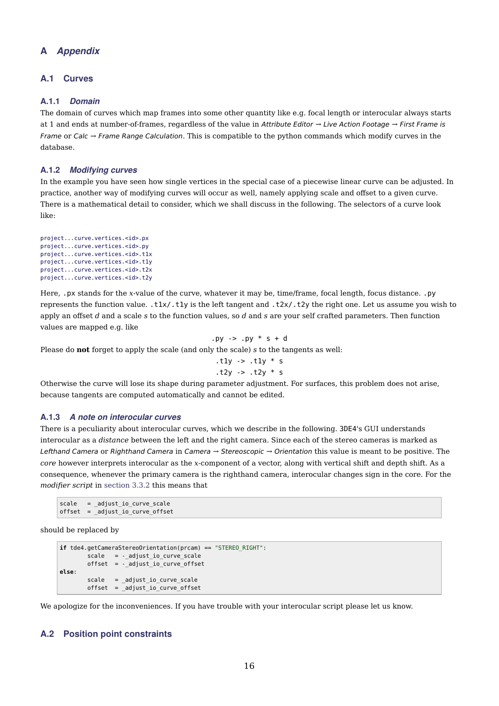# **Appendix**

# A.1 Curves

# A.1.1 Domain

The domain of curves which map frames into some other quantity like e.g. focal length or interocular always starts at 1 and ends at number-of-frames, regardless of the value in Attribute Editor  $\rightarrow$  Live Action Footage  $\rightarrow$  First Frame is Frame or Calc → Frame Range Calculation. This is compatible to the python commands which modify curves in the database.

### A.1.2 Modifying curves

In the example you have seen how single vertices in the special case of a piecewise linear curve can be adjusted. In practice, another way of modifying curves will occur as well, namely applying scale and offset to a given curve. There is a mathematical detail to consider, which we shall discuss in the following. The selectors of a curve look like:

```
project...curve.vertices.<id>.px
project...curve.vertices.<id>.py
project...curve.vertices.<id>.t1x
project...curve.vertices.<id>.t1y
project...curve.vertices.<id>.t2x
project...curve.vertices.<id>.t2y
```
Here, .px stands for the *x*-value of the curve, whatever it may be, time/frame, focal length, focus distance. .py represents the function value. .t1x/.t1y is the left tangent and .t2x/.t2y the right one. Let us assume you wish to apply an offset *d* and a scale *s* to the function values, so *d* and *s* are your self crafted parameters. Then function values are mapped e.g. like

.py 
$$
->
$$
 .py  $*>$  + d

Please do **not** forget to apply the scale (and only the scale) *s* to the tangents as well:

$$
.t1y \rightarrow .t1y * s
$$

$$
.t2y \rightarrow .t2y * s
$$

Otherwise the curve will lose its shape during parameter adjustment. For surfaces, this problem does not arise, because tangents are computed automatically and cannot be edited.

#### A.1.3 A note on interocular curves

There is a peculiarity about interocular curves, which we describe in the following. 3DE4's GUI understands interocular as a *distance* between the left and the right camera. Since each of the stereo cameras is marked as Lefthand Camera or Righthand Camera in Camera → Stereoscopic → Orientation this value is meant to be positive. The *core* however interprets interocular as the *x*-component of a vector, along with vertical shift and depth shift. As a consequence, whenever the primary camera is the righthand camera, interocular changes sign in the core. For the *modifier script* in section 3.3.2 this means that

```
scale = adjustio curve scaleoffset = _adjust_io_curve_offset
```
should be replaced by

```
if tde4.getCameraStereoOrientation(prcam) == "STEREO_RIGHT":
       scale = -_adjust_io_curve_scale
       offset = -_adjust_io_curve_offset
else:
       scale = _adjust_io_curve_scale
       offset = _adjust_io_curve_offset
```
We apologize for the inconveniences. If you have trouble with your interocular script please let us know.

# A.2 Position point constraints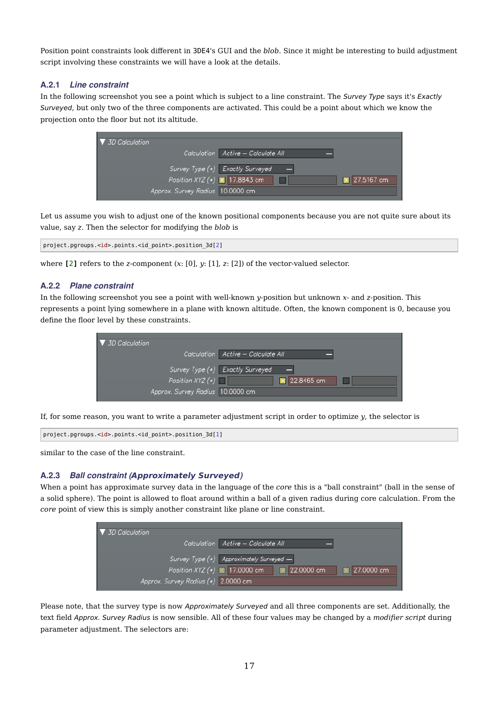Position point constraints look different in 3DE4's GUI and the *blob*. Since it might be interesting to build adjustment script involving these constraints we will have a look at the details.

### A.2.1 Line constraint

In the following screenshot you see a point which is subject to a line constraint. The Survey Type says it's Exactly Surveyed, but only two of the three components are activated. This could be a point about which we know the projection onto the floor but not its altitude.

| $\triangledown$ 3D Calculation         |                                    |  |
|----------------------------------------|------------------------------------|--|
|                                        | Calculation Active - Calculate All |  |
|                                        | Survey Type (*) Exactly Surveyed   |  |
| Position XYZ $(*)$ $\times$ 17.8843 cm | × 27.5167 cm                       |  |
| Approx. Survey Rodius 10.0000 cm       |                                    |  |

Let us assume you wish to adjust one of the known positional components because you are not quite sure about its value, say *z*. Then the selector for modifying the *blob* is

```
project.pgroups.<id>.points.<id_point>.position_3d[2]
```
where **[**2**]** refers to the *z*-component (*x*: [0], *y*: [1], *z*: [2]) of the vector-valued selector.

#### A.2.2 Plane constraint

In the following screenshot you see a point with well-known *y*-position but unknown *x*- and *z*-position. This represents a point lying somewhere in a plane with known altitude. Often, the known component is 0, because you define the floor level by these constraints.

| $\nabla$ 3D Calculation          |                                    |
|----------------------------------|------------------------------------|
|                                  | Calculation Active - Calculate All |
|                                  | Survey Type (*) Exactly Surveyed   |
| Position $XYZ(*)$                | × 22.8465 cm                       |
| Approx. Survey Radius 10.0000 cm |                                    |

If, for some reason, you want to write a parameter adjustment script in order to optimize *y*, the selector is

```
project.pgroups.<id>.points.<id_point>.position_3d[1]
```
similar to the case of the line constraint.

#### A.2.3 Ball constraint (**Approximately Surveyed**)

When a point has approximate survey data in the language of the *core* this is a "ball constraint" (ball in the sense of a solid sphere). The point is allowed to float around within a ball of a given radius during core calculation. From the *core* point of view this is simply another constraint like plane or line constraint.

| $\triangledown$ 3D Calculation                                                         |  |
|----------------------------------------------------------------------------------------|--|
| Calculation Active - Calculate All                                                     |  |
|                                                                                        |  |
| Survey Type $(*)$ Approximately Surveyed $-$<br>Position XYZ (*) 17.0000 cm 22.0000 cm |  |
| 27.0000 cm                                                                             |  |
| Approx. Survey Radius (*) 2.0000 cm                                                    |  |

Please note, that the survey type is now Approximately Surveyed and all three components are set. Additionally, the text field Approx. Survey Radius is now sensible. All of these four values may be changed by a *modifier script* during parameter adjustment. The selectors are: